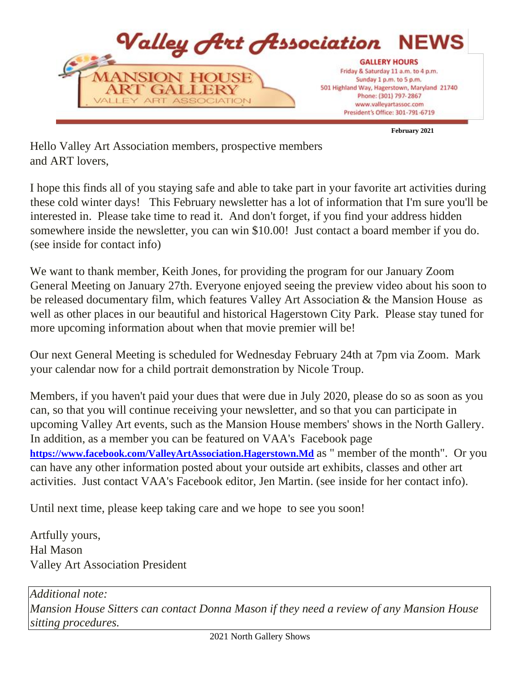

**February 2021** 

Hello Valley Art Association members, prospective members and ART lovers,

I hope this finds all of you staying safe and able to take part in your favorite art activities during these cold winter days! This February newsletter has a lot of information that I'm sure you'll be interested in. Please take time to read it. And don't forget, if you find your address hidden somewhere inside the newsletter, you can win \$10.00! Just contact a board member if you do. (see inside for contact info)

We want to thank member, Keith Jones, for providing the program for our January Zoom General Meeting on January 27th. Everyone enjoyed seeing the preview video about his soon to be released documentary film, which features Valley Art Association & the Mansion House as well as other places in our beautiful and historical Hagerstown City Park. Please stay tuned for more upcoming information about when that movie premier will be!

Our next General Meeting is scheduled for Wednesday February 24th at 7pm via Zoom. Mark your calendar now for a child portrait demonstration by Nicole Troup.

Members, if you haven't paid your dues that were due in July 2020, please do so as soon as you can, so that you will continue receiving your newsletter, and so that you can participate in upcoming Valley Art events, such as the Mansion House members' shows in the North Gallery. In addition, as a member you can be featured on VAA's Facebook page **<https://www.facebook.com/ValleyArtAssociation.Hagerstown.Md>** [a](https://www.facebook.com/ValleyArtAssociation.Hagerstown.Md)s " member of the month". Or you can have any other information posted about your outside art exhibits, classes and other art activities. Just contact VAA's Facebook editor, Jen Martin. (see inside for her contact info).

Until next time, please keep taking care and we hope to see you soon!

Artfully yours, Hal Mason Valley Art Association President

*Additional note: Mansion House Sitters can contact Donna Mason if they need a review of any Mansion House sitting procedures.*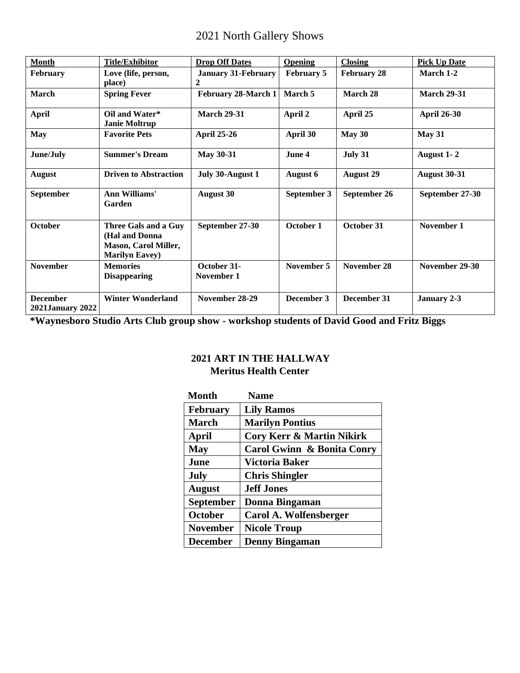# 2021 North Gallery Shows

| <b>Month</b>                               | <b>Title/Exhibitor</b>                                                                           | <b>Drop Off Dates</b>           | <b>Opening</b>    | <b>Closing</b>     | <b>Pick Up Date</b> |
|--------------------------------------------|--------------------------------------------------------------------------------------------------|---------------------------------|-------------------|--------------------|---------------------|
| <b>February</b>                            | Love (life, person,<br>place)                                                                    | <b>January 31-February</b><br>2 | <b>February 5</b> | <b>February 28</b> | March 1-2           |
| <b>March</b>                               | <b>Spring Fever</b>                                                                              | February 28-March 1             | March 5           | March 28           | <b>March 29-31</b>  |
| <b>April</b>                               | Oil and Water*<br><b>Janie Moltrup</b>                                                           | <b>March 29-31</b>              | April 2           | April 25           | <b>April 26-30</b>  |
| <b>May</b>                                 | <b>Favorite Pets</b>                                                                             | <b>April 25-26</b>              | April 30          | May 30             | <b>May 31</b>       |
| June/July                                  | <b>Summer's Dream</b>                                                                            | <b>May 30-31</b>                | June 4            | July 31            | August 1-2          |
| <b>August</b>                              | <b>Driven to Abstraction</b>                                                                     | July 30-August 1                | <b>August 6</b>   | <b>August 29</b>   | <b>August 30-31</b> |
| September                                  | Ann Williams'<br>Garden                                                                          | <b>August 30</b>                | September 3       | September 26       | September 27-30     |
| October                                    | Three Gals and a Guy<br>(Hal and Donna)<br><b>Mason, Carol Miller,</b><br><b>Marilyn Eavey</b> ) | September 27-30                 | October 1         | October 31         | November 1          |
| <b>November</b>                            | <b>Memories</b><br><b>Disappearing</b>                                                           | October 31-<br>November 1       | November 5        | November 28        | November 29-30      |
| <b>December</b><br><b>2021January 2022</b> | <b>Winter Wonderland</b>                                                                         | November 28-29                  | December 3        | December 31        | January 2-3         |

**\*Waynesboro Studio Arts Club group show - workshop students of David Good and Fritz Biggs** 

# **2021 ART IN THE HALLWAY Meritus Health Center**

| <b>Month</b>     | <b>Name</b>                          |
|------------------|--------------------------------------|
| <b>February</b>  | <b>Lily Ramos</b>                    |
| <b>March</b>     | <b>Marilyn Pontius</b>               |
| April            | <b>Cory Kerr &amp; Martin Nikirk</b> |
| <b>May</b>       | Carol Gwinn & Bonita Conry           |
| June             | Victoria Baker                       |
| July             | <b>Chris Shingler</b>                |
| <b>August</b>    | <b>Jeff Jones</b>                    |
| <b>September</b> | Donna Bingaman                       |
| <b>October</b>   | Carol A. Wolfensberger               |
| <b>November</b>  | <b>Nicole Troup</b>                  |
| <b>December</b>  | <b>Denny Bingaman</b>                |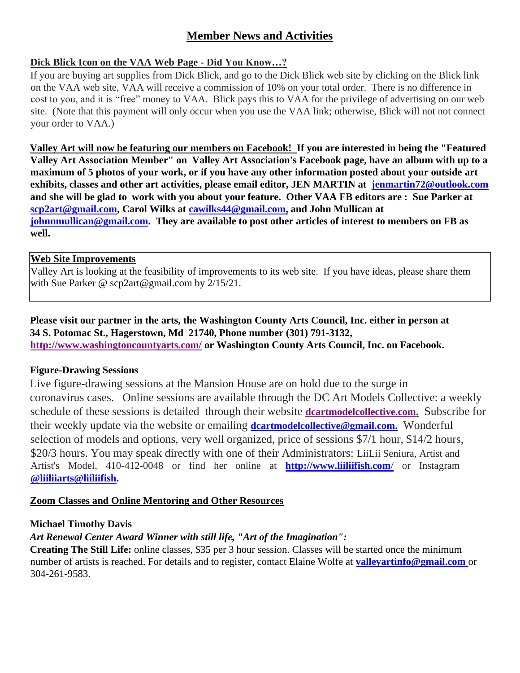# **Member News and Activities**

# **Dick Blick Icon on the VAA Web Page - Did You Know…?**

If you are buying art supplies from Dick Blick, and go to the Dick Blick web site by clicking on the Blick link on the VAA web site, VAA will receive a commission of 10% on your total order. There is no difference in cost to you, and it is "free" money to VAA. Blick pays this to VAA for the privilege of advertising on our web site. (Note that this payment will only occur when you use the VAA link; otherwise, Blick will not not connect your order to VAA.)

**Valley Art will now be featuring our members on Facebook! If you are interested in being the "Featured Valley Art Association Member" on Valley Art Association's Facebook page, have an album with up to a maximum of 5 photos of your work, or if you have any other information posted about your outside art exhibits, classes and other art activities, please email editor, JEN MARTIN at jenmartin72@outlook.com and she will be glad to work with you about your feature. Other VAA FB editors are : Sue Parker at scp2art@gmail.com, Carol Wilks at cawilks44@gmail.com, and John Mullican at johnnmullican@gmail.com. They are available to post other articles of interest to members on FB as well.** 

### **Web Site Improvements**

Valley Art is looking at the feasibility of improvements to its web site. If you have ideas, please share them with Sue Parker @ scp2art@gmail.com by 2/15/21.

**Please visit our partner in the arts, the Washington County Arts Council, Inc. either in person at 34 S. Potomac St., Hagerstown, Md 21740, Phone number (301) 791-3132, <http://www.washingtoncountyarts.com/> [o](http://www.washingtoncountyarts.com/)r Washington County Arts Council, Inc. on Facebook.** 

### **Figure-Drawing Sessions**

Live figure-drawing sessions at the Mansion House are on hold due to the surge in coronavirus cases. Online sessions are available through the DC Art Models Collective: a weekly schedule of these sessions is detailed through their websit[e](http://dcartmodelcollective.com/) **[dcartmodelcollective.com.](http://dcartmodelcollective.com/)** Subscribe for their weekly update via the website or emailing **dcartmodelcollective@gmail.com.** Wonderful selection of models and options, very well organized, price of sessions \$7/1 hour, \$14/2 hours, \$20/3 hours. You may speak directly with one of their Administrators: LiiLii Seniura, Artist and Artist's Model, 410-412-0048 or find her online a[t](http://www.liiliifish.com/) **[http://www.liiliifish.com](http://www.liiliifish.com/)**[/](http://www.liiliifish.com/) or Instagram **@liiliiarts@liiliifish.**

### **Zoom Classes and Online Mentoring and Other Resources**

### **Michael Timothy Davis**

# *Art Renewal Center Award Winner with still life, "Art of the Imagination":*

**Creating The Still Life:** online classes, \$35 per 3 hour session. Classes will be started once the minimum number of artists is reached. For details and to register, contact Elaine Wolfe at **valleyartinfo@gmail.com** or 304-261-9583.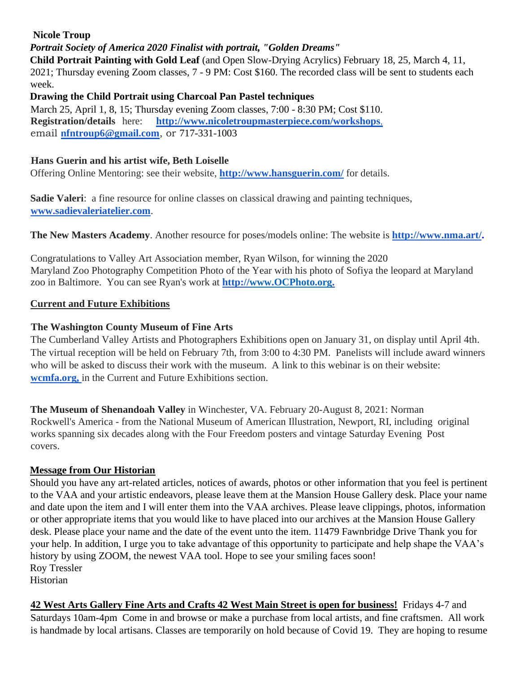# **Nicole Troup**

# *Portrait Society of America 2020 Finalist with portrait, "Golden Dreams"*

**Child Portrait Painting with Gold Leaf** (and Open Slow-Drying Acrylics) February 18, 25, March 4, 11, 2021; Thursday evening Zoom classes, 7 - 9 PM: Cost \$160. The recorded class will be sent to students each week.

#### **Drawing the Child Portrait using Charcoal Pan Pastel techniques**

March 25, April 1, 8, 15; Thursday evening Zoom classes, 7:00 - 8:30 PM; Cost \$110. **Registration/details** here: **[http://www.nicoletroupmasterpiece.com/workshops](http://www.nicoletroupmasterpiece.com/workshops,)**[,](http://www.nicoletroupmasterpiece.com/workshops,) email **nfntroup6@gmail.com**, or 717-331-1003

### **Hans Guerin and his artist wife, Beth Loiselle**

Offering Online Mentoring: see their website, **<http://www.hansguerin.com/>** for details.

**Sadie Valeri**: a fine resource for online classes on classical drawing and painting techniques[,](http://www.sadievaleriatelier.com/) **[www.sadievaleriatelier.com](http://www.sadievaleriatelier.com/)**[.](http://www.sadievaleriatelier.com/)

**The New Masters Academy**. Another resource for poses/models online: The website is **[http://www.nma.art/.](http://www.nma.art/)**

Congratulations to Valley Art Association member, Ryan Wilson, for winning the 2020 Maryland Zoo Photography Competition Photo of the Year with his photo of Sofiya the leopard at Maryland zoo in Baltimore. You can see Ryan's work at **http:/[/www.OCPhoto.org.](http://www.ocphoto.org/)**

### **Current and Future Exhibitions**

# **The Washington County Museum of Fine Arts**

The Cumberland Valley Artists and Photographers Exhibitions open on January 31, on display until April 4th. The virtual reception will be held on February 7th, from 3:00 to 4:30 PM. Panelists will include award winners who will be asked to discuss their work with the museum. A link to this webinar is on their website: **[wcmfa.org,](http://wcmfa.org/)** in the Current and Future Exhibitions section.

**The Museum of Shenandoah Valley** in Winchester, VA. February 20-August 8, 2021: Norman Rockwell's America - from the National Museum of American Illustration, Newport, RI, including original works spanning six decades along with the Four Freedom posters and vintage Saturday Evening Post covers.

### **Message from Our Historian**

Should you have any art-related articles, notices of awards, photos or other information that you feel is pertinent to the VAA and your artistic endeavors, please leave them at the Mansion House Gallery desk. Place your name and date upon the item and I will enter them into the VAA archives. Please leave clippings, photos, information or other appropriate items that you would like to have placed into our archives at the Mansion House Gallery desk. Please place your name and the date of the event unto the item. 11479 Fawnbridge Drive Thank you for your help. In addition, I urge you to take advantage of this opportunity to participate and help shape the VAA's history by using ZOOM, the newest VAA tool. Hope to see your smiling faces soon! Roy Tressler Historian

**42 West Arts Gallery Fine Arts and Crafts 42 West Main Street is open for business!** Fridays 4-7 and Saturdays 10am-4pm Come in and browse or make a purchase from local artists, and fine craftsmen. All work is handmade by local artisans. Classes are temporarily on hold because of Covid 19. They are hoping to resume